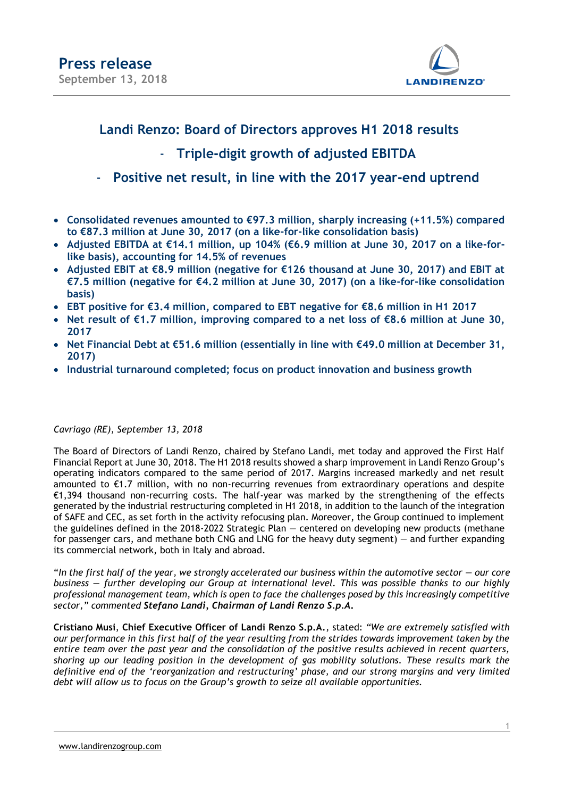

### **Landi Renzo: Board of Directors approves H1 2018 results**

### - **Triple-digit growth of adjusted EBITDA**

### - **Positive net result, in line with the 2017 year-end uptrend**

- **Consolidated revenues amounted to €97.3 million, sharply increasing (+11.5%) compared to €87.3 million at June 30, 2017 (on a like-for-like consolidation basis)**
- **Adjusted EBITDA at €14.1 million, up 104% (€6.9 million at June 30, 2017 on a like-forlike basis), accounting for 14.5% of revenues**
- **Adjusted EBIT at €8.9 million (negative for €126 thousand at June 30, 2017) and EBIT at €7.5 million (negative for €4.2 million at June 30, 2017) (on a like-for-like consolidation basis)**
- **EBT positive for €3.4 million, compared to EBT negative for €8.6 million in H1 2017**
- **Net result of €1.7 million, improving compared to a net loss of €8.6 million at June 30, 2017**
- **Net Financial Debt at €51.6 million (essentially in line with €49.0 million at December 31, 2017)**
- **Industrial turnaround completed; focus on product innovation and business growth**

#### *Cavriago (RE), September 13, 2018*

The Board of Directors of Landi Renzo, chaired by Stefano Landi, met today and approved the First Half Financial Report at June 30, 2018. The H1 2018 results showed a sharp improvement in Landi Renzo Group's operating indicators compared to the same period of 2017. Margins increased markedly and net result amounted to €1.7 million, with no non-recurring revenues from extraordinary operations and despite €1,394 thousand non-recurring costs. The half-year was marked by the strengthening of the effects generated by the industrial restructuring completed in H1 2018, in addition to the launch of the integration of SAFE and CEC, as set forth in the activity refocusing plan. Moreover, the Group continued to implement the guidelines defined in the 2018-2022 Strategic Plan — centered on developing new products (methane for passenger cars, and methane both CNG and LNG for the heavy duty segment) — and further expanding its commercial network, both in Italy and abroad.

"In the first half of the year, we strongly accelerated our business within the automotive sector — our core *business — further developing our Group at international level. This was possible thanks to our highly professional management team, which is open to face the challenges posed by this increasingly competitive sector," commented Stefano Landi, Chairman of Landi Renzo S.p.A***.**

**Cristiano Musi**, **Chief Executive Officer of Landi Renzo S.p.A.**, stated: *"We are extremely satisfied with our performance in this first half of the year resulting from the strides towards improvement taken by the entire team over the past year and the consolidation of the positive results achieved in recent quarters, shoring up our leading position in the development of gas mobility solutions. These results mark the definitive end of the 'reorganization and restructuring' phase, and our strong margins and very limited debt will allow us to focus on the Group's growth to seize all available opportunities.*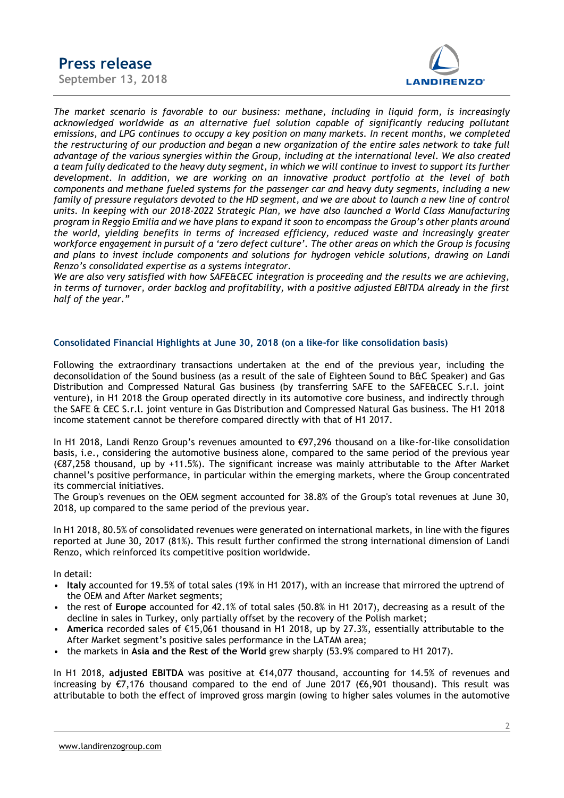



*The market scenario is favorable to our business: methane, including in liquid form, is increasingly acknowledged worldwide as an alternative fuel solution capable of significantly reducing pollutant emissions, and LPG continues to occupy a key position on many markets. In recent months, we completed the restructuring of our production and began a new organization of the entire sales network to take full advantage of the various synergies within the Group, including at the international level. We also created a team fully dedicated to the heavy duty segment, in which we will continue to invest to support its further development. In addition, we are working on an innovative product portfolio at the level of both components and methane fueled systems for the passenger car and heavy duty segments, including a new family of pressure regulators devoted to the HD segment, and we are about to launch a new line of control units. In keeping with our 2018-2022 Strategic Plan, we have also launched a World Class Manufacturing program in Reggio Emilia and we have plans to expand it soon to encompass the Group's other plants around the world, yielding benefits in terms of increased efficiency, reduced waste and increasingly greater workforce engagement in pursuit of a 'zero defect culture'. The other areas on which the Group is focusing and plans to invest include components and solutions for hydrogen vehicle solutions, drawing on Landi Renzo's consolidated expertise as a systems integrator.* 

*We are also very satisfied with how SAFE&CEC integration is proceeding and the results we are achieving, in terms of turnover, order backlog and profitability, with a positive adjusted EBITDA already in the first half of the year."* 

#### **Consolidated Financial Highlights at June 30, 2018 (on a like-for like consolidation basis)**

Following the extraordinary transactions undertaken at the end of the previous year, including the deconsolidation of the Sound business (as a result of the sale of Eighteen Sound to B&C Speaker) and Gas Distribution and Compressed Natural Gas business (by transferring SAFE to the SAFE&CEC S.r.l. joint venture), in H1 2018 the Group operated directly in its automotive core business, and indirectly through the SAFE & CEC S.r.l. joint venture in Gas Distribution and Compressed Natural Gas business. The H1 2018 income statement cannot be therefore compared directly with that of H1 2017.

In H1 2018, Landi Renzo Group's revenues amounted to €97,296 thousand on a like-for-like consolidation basis, i.e., considering the automotive business alone, compared to the same period of the previous year (€87,258 thousand, up by +11.5%). The significant increase was mainly attributable to the After Market channel's positive performance, in particular within the emerging markets, where the Group concentrated its commercial initiatives.

The Group's revenues on the OEM segment accounted for 38.8% of the Group's total revenues at June 30, 2018, up compared to the same period of the previous year.

In H1 2018, 80.5% of consolidated revenues were generated on international markets, in line with the figures reported at June 30, 2017 (81%). This result further confirmed the strong international dimension of Landi Renzo, which reinforced its competitive position worldwide.

In detail:

- **Italy** accounted for 19.5% of total sales (19% in H1 2017), with an increase that mirrored the uptrend of the OEM and After Market segments;
- the rest of **Europe** accounted for 42.1% of total sales (50.8% in H1 2017), decreasing as a result of the decline in sales in Turkey, only partially offset by the recovery of the Polish market;
- **America** recorded sales of €15,061 thousand in H1 2018, up by 27.3%, essentially attributable to the After Market segment's positive sales performance in the LATAM area;
- the markets in **Asia and the Rest of the World** grew sharply (53.9% compared to H1 2017).

In H1 2018, **adjusted EBITDA** was positive at €14,077 thousand, accounting for 14.5% of revenues and increasing by €7,176 thousand compared to the end of June 2017 (€6,901 thousand). This result was attributable to both the effect of improved gross margin (owing to higher sales volumes in the automotive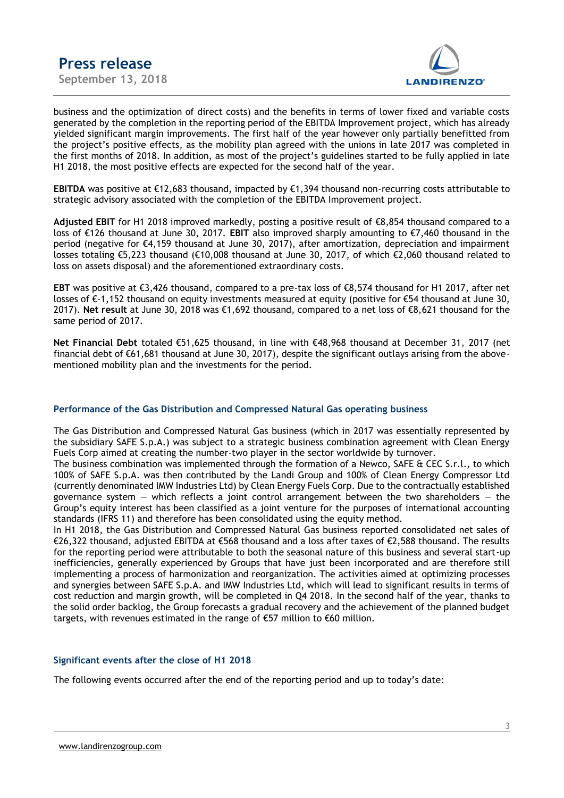

business and the optimization of direct costs) and the benefits in terms of lower fixed and variable costs generated by the completion in the reporting period of the EBITDA Improvement project, which has already yielded significant margin improvements. The first half of the year however only partially benefitted from the project's positive effects, as the mobility plan agreed with the unions in late 2017 was completed in the first months of 2018. In addition, as most of the project's guidelines started to be fully applied in late H1 2018, the most positive effects are expected for the second half of the year.

**EBITDA** was positive at €12,683 thousand, impacted by €1,394 thousand non-recurring costs attributable to strategic advisory associated with the completion of the EBITDA Improvement project.

**Adjusted EBIT** for H1 2018 improved markedly, posting a positive result of €8,854 thousand compared to a loss of €126 thousand at June 30, 2017. **EBIT** also improved sharply amounting to €7,460 thousand in the period (negative for €4,159 thousand at June 30, 2017), after amortization, depreciation and impairment losses totaling €5,223 thousand (€10,008 thousand at June 30, 2017, of which €2,060 thousand related to loss on assets disposal) and the aforementioned extraordinary costs.

**EBT** was positive at €3,426 thousand, compared to a pre-tax loss of €8,574 thousand for H1 2017, after net losses of €-1,152 thousand on equity investments measured at equity (positive for €54 thousand at June 30, 2017). **Net result** at June 30, 2018 was €1,692 thousand, compared to a net loss of €8,621 thousand for the same period of 2017.

**Net Financial Debt** totaled €51,625 thousand, in line with €48,968 thousand at December 31, 2017 (net financial debt of €61,681 thousand at June 30, 2017), despite the significant outlays arising from the abovementioned mobility plan and the investments for the period.

#### **Performance of the Gas Distribution and Compressed Natural Gas operating business**

The Gas Distribution and Compressed Natural Gas business (which in 2017 was essentially represented by the subsidiary SAFE S.p.A.) was subject to a strategic business combination agreement with Clean Energy Fuels Corp aimed at creating the number-two player in the sector worldwide by turnover.

The business combination was implemented through the formation of a Newco, SAFE & CEC S.r.l., to which 100% of SAFE S.p.A. was then contributed by the Landi Group and 100% of Clean Energy Compressor Ltd (currently denominated IMW Industries Ltd) by Clean Energy Fuels Corp. Due to the contractually established governance system  $-$  which reflects a joint control arrangement between the two shareholders  $-$  the Group's equity interest has been classified as a joint venture for the purposes of international accounting standards (IFRS 11) and therefore has been consolidated using the equity method.

In H1 2018, the Gas Distribution and Compressed Natural Gas business reported consolidated net sales of €26,322 thousand, adjusted EBITDA at €568 thousand and a loss after taxes of €2,588 thousand. The results for the reporting period were attributable to both the seasonal nature of this business and several start-up inefficiencies, generally experienced by Groups that have just been incorporated and are therefore still implementing a process of harmonization and reorganization. The activities aimed at optimizing processes and synergies between SAFE S.p.A. and IMW Industries Ltd, which will lead to significant results in terms of cost reduction and margin growth, will be completed in Q4 2018. In the second half of the year, thanks to the solid order backlog, the Group forecasts a gradual recovery and the achievement of the planned budget targets, with revenues estimated in the range of €57 million to €60 million.

#### **Significant events after the close of H1 2018**

The following events occurred after the end of the reporting period and up to today's date: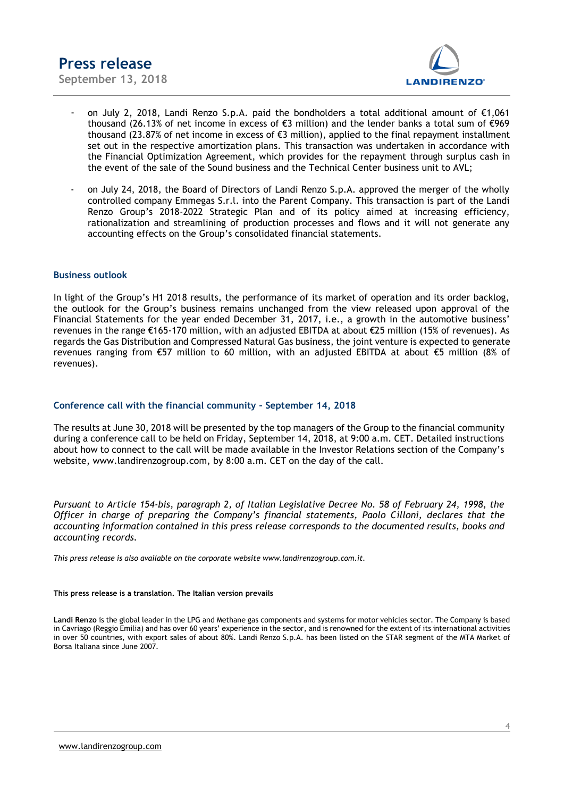

- on July 2, 2018, Landi Renzo S.p.A. paid the bondholders a total additional amount of €1,061 thousand (26.13% of net income in excess of  $\epsilon$ 3 million) and the lender banks a total sum of  $\epsilon$ 969 thousand (23.87% of net income in excess of €3 million), applied to the final repayment installment set out in the respective amortization plans. This transaction was undertaken in accordance with the Financial Optimization Agreement, which provides for the repayment through surplus cash in the event of the sale of the Sound business and the Technical Center business unit to AVL;
- on July 24, 2018, the Board of Directors of Landi Renzo S.p.A. approved the merger of the wholly controlled company Emmegas S.r.l. into the Parent Company. This transaction is part of the Landi Renzo Group's 2018-2022 Strategic Plan and of its policy aimed at increasing efficiency, rationalization and streamlining of production processes and flows and it will not generate any accounting effects on the Group's consolidated financial statements.

#### **Business outlook**

In light of the Group's H1 2018 results, the performance of its market of operation and its order backlog, the outlook for the Group's business remains unchanged from the view released upon approval of the Financial Statements for the year ended December 31, 2017, i.e., a growth in the automotive business' revenues in the range €165-170 million, with an adjusted EBITDA at about €25 million (15% of revenues). As regards the Gas Distribution and Compressed Natural Gas business, the joint venture is expected to generate revenues ranging from €57 million to 60 million, with an adjusted EBITDA at about €5 million (8% of revenues).

#### **Conference call with the financial community – September 14, 2018**

The results at June 30, 2018 will be presented by the top managers of the Group to the financial community during a conference call to be held on Friday, September 14, 2018, at 9:00 a.m. CET. Detailed instructions about how to connect to the call will be made available in the Investor Relations section of the Company's website, www.landirenzogroup.com, by 8:00 a.m. CET on the day of the call.

*Pursuant to Article 154-bis, paragraph 2, of Italian Legislative Decree No. 58 of February 24, 1998, the Officer in charge of preparing the Company's financial statements, Paolo Cilloni, declares that the accounting information contained in this press release corresponds to the documented results, books and accounting records.*

*This press release is also available on the corporate website www.landirenzogroup.com.it.*

#### **This press release is a translation. The Italian version prevails**

**Landi Renzo** is the global leader in the LPG and Methane gas components and systems for motor vehicles sector. The Company is based in Cavriago (Reggio Emilia) and has over 60 years' experience in the sector, and is renowned for the extent of its international activities in over 50 countries, with export sales of about 80%. Landi Renzo S.p.A. has been listed on the STAR segment of the MTA Market of Borsa Italiana since June 2007.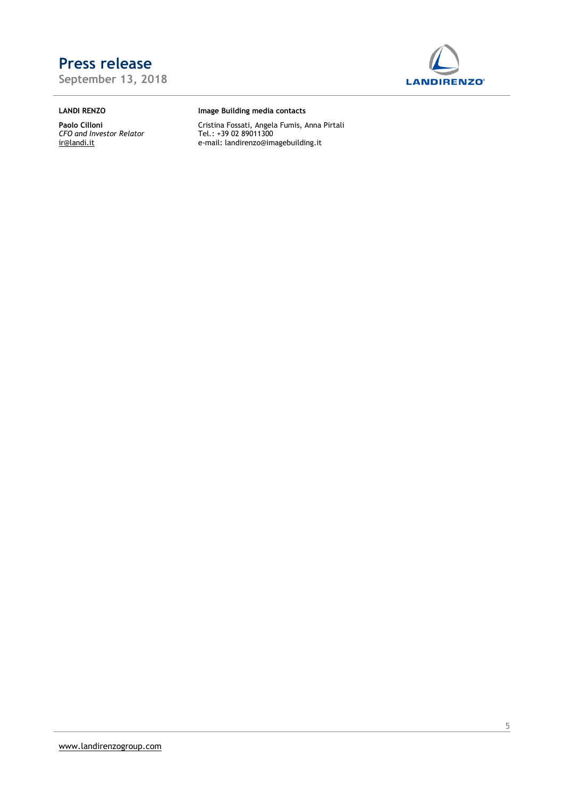**September 13, 2018**



### **LANDI RENZO**

**Paolo Cilloni** *CFO and Investor Relator* [ir@landi.it](mailto:ir@landi.it)

#### **Image Building media contacts**

Cristina Fossati, Angela Fumis, Anna Pirtali Tel.: +39 02 89011300 e-mail[: landirenzo@imagebuilding.it](mailto:landirenzo@imagebuilding.it)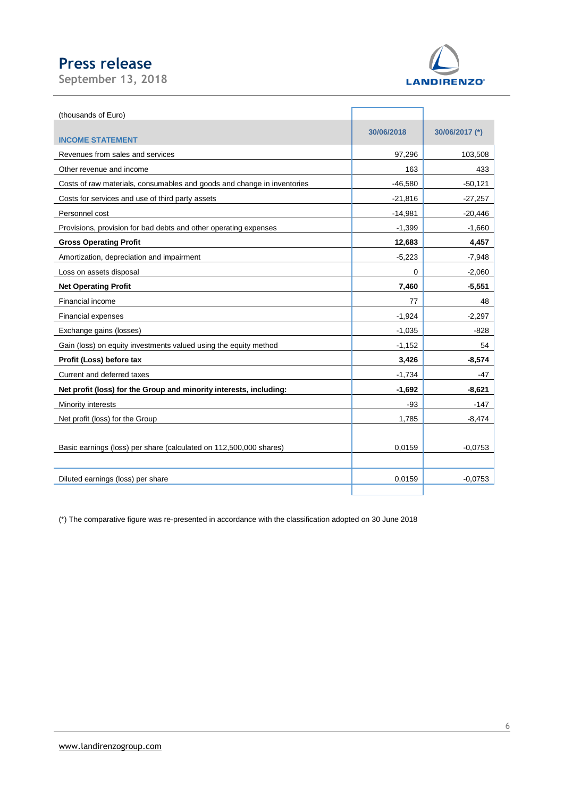**September 13, 2018**



| (thousands of Euro)                                                     |            |                |
|-------------------------------------------------------------------------|------------|----------------|
|                                                                         | 30/06/2018 | 30/06/2017 (*) |
| <b>INCOME STATEMENT</b>                                                 |            |                |
| Revenues from sales and services                                        | 97,296     | 103,508        |
| Other revenue and income                                                | 163        | 433            |
| Costs of raw materials, consumables and goods and change in inventories | $-46,580$  | $-50,121$      |
| Costs for services and use of third party assets                        | $-21,816$  | $-27,257$      |
| Personnel cost                                                          | $-14,981$  | $-20,446$      |
| Provisions, provision for bad debts and other operating expenses        | $-1,399$   | $-1,660$       |
| <b>Gross Operating Profit</b>                                           | 12,683     | 4,457          |
| Amortization, depreciation and impairment                               | $-5,223$   | $-7,948$       |
| Loss on assets disposal                                                 | $\Omega$   | $-2,060$       |
| <b>Net Operating Profit</b>                                             | 7,460      | $-5,551$       |
| Financial income                                                        | 77         | 48             |
| <b>Financial expenses</b>                                               | $-1,924$   | $-2,297$       |
| Exchange gains (losses)                                                 | $-1,035$   | $-828$         |
| Gain (loss) on equity investments valued using the equity method        | $-1,152$   | 54             |
| Profit (Loss) before tax                                                | 3,426      | $-8,574$       |
| Current and deferred taxes                                              | $-1,734$   | $-47$          |
| Net profit (loss) for the Group and minority interests, including:      | $-1,692$   | $-8,621$       |
| Minority interests                                                      | $-93$      | $-147$         |
| Net profit (loss) for the Group                                         | 1,785      | $-8,474$       |
|                                                                         |            |                |
| Basic earnings (loss) per share (calculated on 112,500,000 shares)      | 0.0159     | $-0.0753$      |
|                                                                         |            |                |
| Diluted earnings (loss) per share                                       | 0,0159     | $-0.0753$      |
|                                                                         |            |                |

(\*) The comparative figure was re-presented in accordance with the classification adopted on 30 June 2018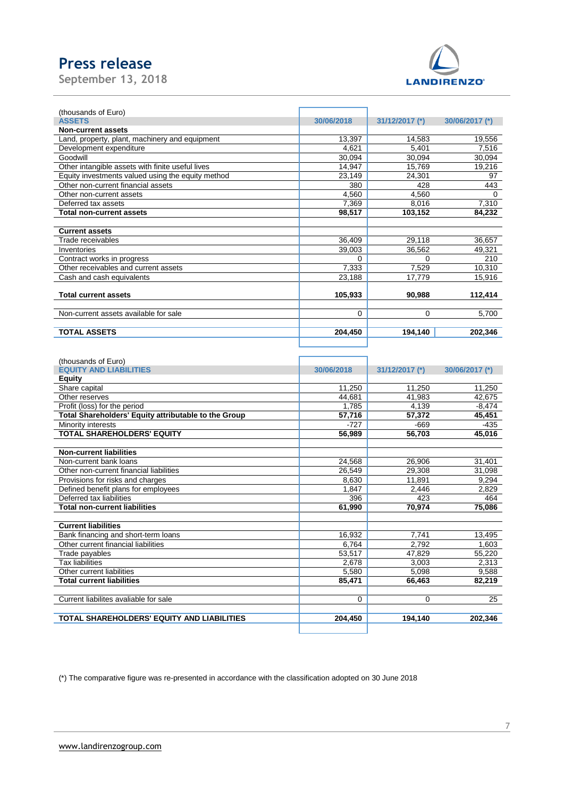**September 13, 2018**



| (thousands of Euro)                               |            |                |                |
|---------------------------------------------------|------------|----------------|----------------|
| <b>ASSETS</b>                                     | 30/06/2018 | 31/12/2017 (*) | 30/06/2017 (*) |
| <b>Non-current assets</b>                         |            |                |                |
| Land, property, plant, machinery and equipment    | 13,397     | 14,583         | 19,556         |
| Development expenditure                           | 4,621      | 5,401          | 7,516          |
| Goodwill                                          | 30,094     | 30,094         | 30,094         |
| Other intangible assets with finite useful lives  | 14,947     | 15,769         | 19,216         |
| Equity investments valued using the equity method | 23,149     | 24,301         | 97             |
| Other non-current financial assets                | 380        | 428            | 443            |
| Other non-current assets                          | 4,560      | 4,560          | 0              |
| Deferred tax assets                               | 7.369      | 8,016          | 7,310          |
| Total non-current assets                          | 98,517     | 103,152        | 84,232         |
|                                                   |            |                |                |
| <b>Current assets</b>                             |            |                |                |
| Trade receivables                                 | 36,409     | 29,118         | 36,657         |
| Inventories                                       | 39,003     | 36,562         | 49,321         |
| Contract works in progress                        | $\Omega$   | 0              | 210            |
| Other receivables and current assets              | 7,333      | 7,529          | 10,310         |
| Cash and cash equivalents                         | 23,188     | 17,779         | 15,916         |
|                                                   |            |                |                |
| <b>Total current assets</b>                       | 105,933    | 90,988         | 112,414        |
|                                                   |            |                |                |
| Non-current assets available for sale             | $\Omega$   | $\Omega$       | 5,700          |
|                                                   |            |                |                |
| <b>TOTAL ASSETS</b>                               | 204,450    | 194,140        | 202,346        |
|                                                   |            |                |                |

| (thousands of Euro)                                  |            |                |                |
|------------------------------------------------------|------------|----------------|----------------|
| <b>EQUITY AND LIABILITIES</b>                        | 30/06/2018 | 31/12/2017 (*) | 30/06/2017 (*) |
| Equity                                               |            |                |                |
| Share capital                                        | 11.250     | 11.250         | 11,250         |
| Other reserves                                       | 44.681     | 41.983         | 42.675         |
| Profit (loss) for the period                         | 1.785      | 4,139          | $-8,474$       |
| Total Shareholders' Equity attributable to the Group | 57.716     | 57.372         | 45,451         |
| Minority interests                                   | $-727$     | $-669$         | $-435$         |
| <b>TOTAL SHAREHOLDERS' EQUITY</b>                    | 56.989     | 56.703         | 45,016         |
|                                                      |            |                |                |
| <b>Non-current liabilities</b>                       |            |                |                |
| Non-current bank loans                               | 24,568     | 26,906         | 31,401         |
| Other non-current financial liabilities              | 26.549     | 29.308         | 31,098         |
| Provisions for risks and charges                     | 8,630      | 11.891         | 9,294          |
| Defined benefit plans for employees                  | 1.847      | 2,446          | 2,829          |
| Deferred tax liabilities                             | 396        | 423            | 464            |
| <b>Total non-current liabilities</b>                 | 61,990     | 70,974         | 75,086         |
| <b>Current liabilities</b>                           |            |                |                |
| Bank financing and short-term loans                  | 16.932     | 7.741          | 13.495         |
| Other current financial liabilities                  | 6.764      | 2.792          | 1.603          |
| Trade payables                                       | 53.517     | 47.829         | 55,220         |
| <b>Tax liabilities</b>                               | 2.678      | 3,003          | 2,313          |
| Other current liabilities                            | 5.580      | 5,098          | 9,588          |
| <b>Total current liabilities</b>                     | 85.471     | 66.463         | 82,219         |
|                                                      |            |                |                |
| Current liabilites avaliable for sale                | $\Omega$   | 0              | 25             |
| TOTAL SHAREHOLDERS' EQUITY AND LIABILITIES           | 204.450    | 194.140        | 202.346        |

(\*) The comparative figure was re-presented in accordance with the classification adopted on 30 June 2018